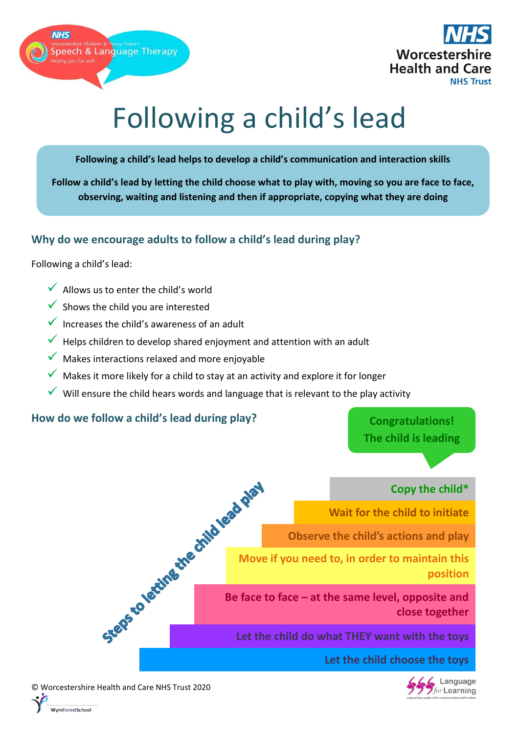



# Following a child's lead

**Following a child's lead helps to develop a child's communication and interaction skills** 

**Follow a child's lead by letting the child choose what to play with, moving so you are face to face, observing, waiting and listening and then if appropriate, copying what they are doing**

## **Why do we encourage adults to follow a child's lead during play?**

Following a child's lead:

- $\checkmark$  Allows us to enter the child's world
- Shows the child you are interested
- $\checkmark$  Increases the child's awareness of an adult
- $\checkmark$  Helps children to develop shared enjoyment and attention with an adult
- $\sqrt{\ }$  Makes interactions relaxed and more enjoyable
- $\checkmark$  Makes it more likely for a child to stay at an activity and explore it for longer
- Will ensure the child hears words and language that is relevant to the play activity

#### **How do we follow a child's lead during play?**

**Congratulations! The child is leading**

# **Copy the child\***

**Wait for the child to initiate**

**Observe the child's actions and play**

**Move if you need to, in order to maintain this position**

Copy the child\*<br>
Wait for the child to initiate<br>
Observe the child's actions and play<br>
Move if you need to, in order to maintain this<br>
position<br>
Be face to face – at the same level, opposite and<br>
Let the **close together**

**Let the child do what THEY want with the toys**

**Let the child choose the toys**



© Worcestershire Health and Care NHS Trust 2020 reForestSchool